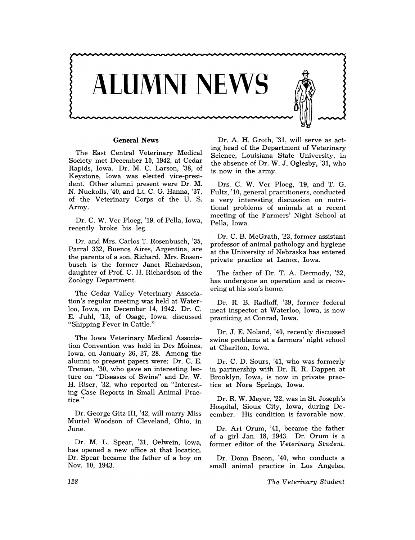

#### **General News**

The East Central Veterinary Medical Society met December 10, 1942, at Cedar Rapids, Iowa. Dr. M. C. Larson, '38, of Keystone, Iowa was elected vice-president. Other alumni present were Dr. M. N. Nuckolls, '40, and Lt. C. G. Hanna, '37, of the Veterinary Corps of the U. S. Army.

Dr. C. W. Ver Ploeg, '19, of Pella, Iowa, recently broke his leg.

Dr. and Mrs. Carlos T. Rosenbusch, '35, Parral 332, Buenos Aires, Argentina, are the parents of a son, Richard. Mrs. Rosenbusch is the former Janet Richardson, daughter of Prof. C. H. Richardson of the Zoology Department.

The Cedar Valley Veterinary Association's regular meeting was held at Waterloo, Iowa, on December 14, 1942. Dr. C. E. Juhl, '13, of Osage, Iowa, discussed "Shipping Fever in Cattle."

The Iowa Veterinary Medical Association Convention was held in Des Moines, Iowa, on January 26, 27, 28. Among the alumni to present papers were: Dr. C. E. Treman, '30, who gave an interesting lecture on "Diseases of Swine" and Dr. W. H. Riser, '32, who reported on "Interesting Case Reports in Small Animal Practice."

Dr. George Gitz III, '42, will marry Miss Muriel Woodson of Cleveland, Ohio, in June.

Dr. M. L. Spear, '31, Oelwein, Iowa, has opened a new office at that location. Dr. Spear became the father of a boy on Nov. 10, 1943.

Dr. A. H. Groth, '31, will serve as acting head of the Department of Veterinary Science, Louisiana State University, in the absence of Dr. W. J. Oglesby, '31, who is now in the army.

Drs. C. W. Ver Ploeg, '19, and T. G. Fultz, '10, general practitioners, conducted a very interesting discussion on nutritional problems of animals at a recent meeting of the Farmers' Night School at Pella, Iowa.

Dr. C. B. McGrath, '23, former assistant professor of animal pathology and hygiene at the University of Nebraska has entered private practice at Lenox, Iowa.

The father of Dr. T. A. Dermody, '32, has undergone an operation and is recovering at his son's home.

Dr. R. B. Radloff, '39, former federal meat inspector at Waterloo, Iowa, is now practicing at Conrad, Iowa.

Dr. J. E. Noland, '40, recently discussed swine problems at a farmers' night school at Chariton, Iowa.

Dr. C. D. Sours, '41, who was formerly in partnership with Dr. R. R. Dappen at Brooklyn, Iowa, is now in private practice at Nora Springs, Iowa.

Dr. R. W. Meyer, '22, was in St. Joseph's Hospital, Sioux City, Iowa, during December. His condition is favorable now.

Dr. Art Orum, '41, became the father of a girl Jan. 18, 1943. Dr. Orum is a former editor of the *Veterinary Student.* 

Dr. Donn Bacon, '40, who conducts a small animal practice in Los Angeles,

TIl e *Veterinary Student*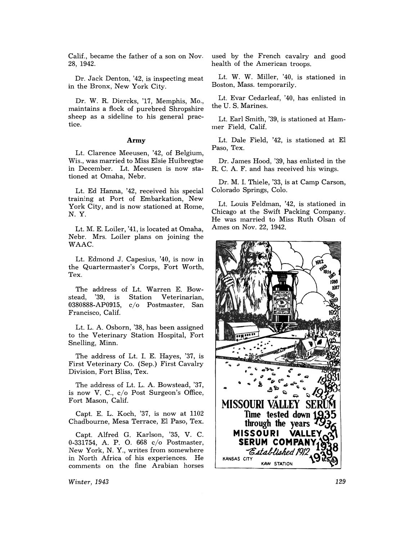Calif., became the father of a son on Nov. 28, 1942.

Dr. Jack Denton, '42, is inspecting meat in the Bronx, New York City.

Dr. W. R. Diercks, '17, Memphis, Mo., maintains a flock of purebred Shropshire sheep as a sideline to his general practice.

#### Army

Lt. Clarence Meeusen, '42, of Belgium, Wis., was married to Miss Elsie Huibregtse in December. Lt. Meeusen is now stationed at Omaha, Nebr.

Lt. Ed Hanna, '42, received his special training at Port of Embarkation, New York City, and is now stationed at Rome, N. Y.

Lt. M. E. Loiler, '41, is located at Omaha, Nebr. Mrs. Loiler plans on joining the WAAC.

Lt. Edmond J. Capesius, '40, is now in the Quartermaster's Corps, Fort Worth, Tex.

The address of Lt. Warren E. Bowstead, 0380888-AP0915, Francisco, Calif. Veterinarian, c/o Postmaster, San

Lt. L. A. Osborn, '38, has been assigned to the Veterinary Station Hospital, Fort Snelling, Minn.

The address of Lt. 1. E. Hayes, '37, is First Veterinary Co. (Sep.) First Cavalry Division, Fort Bliss, Tex.

The address of Lt. L. A. Bowstead, '37, is now V. C., c/o Post Surgeon's Office, Fort Mason, Calif.

Capt. E. L. Koch, '37, is now at 1102 Chadbourne, Mesa Terrace, EI Paso, Tex.

Capt. Alfred G. Karlson, '35, V. C. 0-331754, A. P. O. 668 c/o Postmaster, New York, N. Y., writes from somewhere in North Africa of his experiences. He comments on the fine Arabian horses

*Winter, 1943* 

used by the French cavalry and good health of the American troops.

Lt. W. W. Miller, '40, is stationed in Boston, Mass. temporarily.

Lt. Evar Cedarleaf, '40, has enlisted in the U. S. Marines.

Lt. Earl Smith, '39, is stationed at Hammer Field, Calif.

Lt. Dale Field, '42, is stationed at EI Paso, Tex.

Dr. James Hood, '39, has enlisted in the R. C. A. F. and has received his wings.

Dr. M. 1. Thiele, '33, is at Camp Carson, Colorado Springs, Colo.

Lt. Louis Feldman, '42, is stationed in Chicago at the Swift Packing Company. He was married to Miss Ruth Olsan of Ames on Nov. 22, 1942.



129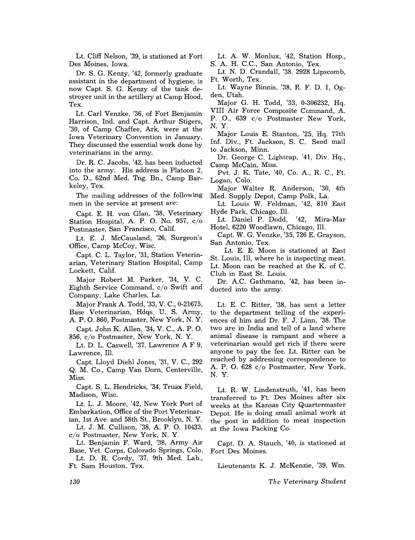Lt. Cliff Nelson, '39, is stationed at Fort Des Moines, Iowa.

Dr. S. G. Kenzy, '42, formerly graduate assistant in the department of hygiene, is now Capt. S. G. Kenzy of the tank destroyer unit in the artillery at Camp Hood, Tex.

Lt. Carl Venzke, '36, of Fort Benjamin Harrison, Ind. and Capt. Arthur Stigers, '30, of Camp Chaffee, Ark. were at the Iowa Veterinary Convention in January. They discussed the essential work done by veterinarians in the army.

Dr. R. C. Jacobs, '42, has been inducted into the army. His address is Platoon 2, Co. D., 62nd Med. Tng. Bn., Camp Barkeley, Tex.

The mailing addresses of the following men in the service at present are:

Capt. E. H. von Glan, '38, Veterinary Station Hospital, A. P. O. No. 957, c/o Postmaster, San Francisco, Calif.

Lt. E. J. McCausland, '26, Surgeon's Office, Camp McCoy, Wisc.

Capt. C. L. Taylor, '31, Station Veterinarian, Veterinary Station Hospital, Camp Lockett, Calif.

Major Robert M. Parker, '34, V. C. Eighth Service Command, c/o Swift and Company, Lake Charles, La.

Major Frank A. Todd, '33, V. C., 0-21675, Base Veterinarian, Hdqs. U. S. Army, A. P. O. 860, Postmaster, New York, N.Y.

Capt. John K. Allen, '34, V. C., A. P. O. 856, c/o Postmaster, New York, N. Y.

Lt. D. L. Caswell, '37, Lawrence A F 9, Lawrence, Ill.

Capt. Lloyd Diehl Jones, '31, V. C., 292 Q. M. Co., Camp Van Dorn, Centerville, Miss.

Capt. S. L. Hendricks, '34, Truax Field, Madison, Wisc.

Lt. L. J. Moore, '42, New York Port of Embarkation, Office of the Port Veterinarian, 1st Ave. and 58th St., Brooklyn, N. Y.

Lt. J. M. Cullison, '38, A. P. O. 10433, c/o Postmaster, New York, N. Y.

Lt. Benjamin F. Ward, '38, Army Air Base, Vet. Corps, Colorado Springs, Colo.

Lt. D. R. Cordy, '37, 9th Med. Lab., Ft. Sam Houston, Tex.

Lt. A. W. Monlux, '42, Station Hosp., S. A. H. C.C., San Antonio, Tex.

Lt. N. D. Crandall, '38, 2928 Lipscomb, Ft. Worth, Tex.

Lt. Wayne Binnis, '38, R. F. D. 1, Ogden, Utah.

Major G. H. Todd, '33, 0-306232, Hq. VIII Air Force Composite Command, A. P.O., 639 c/o Postmaster New York, N.Y.

Major Louis E. Stanton, '25, Hq. 77th Inf. Div., Ft. Jackson, S. C. Send mail to Jackson, Minn.

Dr. George C. Lightcap, '41, Div. Hq., Camp McCain, Miss.

Pvt. J. K. Tate, '40, Co. A, R. C., Ft. Logan, Colo.

Major Walter R. Anderson, '30, 4th Med. Supply Depot, Camp Polk, La.

Lt. Louis W. Feldman, '42, 810 East Hyde Park, Chicago, Ill.

Lt. Daniel P. Dodd, '42, Mira-Mar Hotel, 6220 Woodlawn, Chicago, Ill.

Capt. W. G. Venzke, '35, 726 E. Grayson, San Antonio, Tex.

Lt. E. E. Moon is stationed at East St. Louis, Ill, where he is inspecting meat. Lt. Moon can be reached at the K. of C. Club in East St. Louis.

Dr. A.C. Gathmann, '42, has been inducted into the army.

Lt. E. C. Ritter, '38, has sent a letter to the department telling of the experiences of him and Dr. F. J. Linn, '38. The two are in India and tell of a land where animal disease is rampant and where a veterinarian would get rich if there were anyone to pay the fee. Lt. Ritter can be reached by addressing correspondence to A. P. O. 628 c/o Postmaster, New York, N. Y.

Lt. R. W. Lindenstruth, '41, has been transferred to Ft. Des Moines after six weeks at the Kansas City Quartermaster Depot. He is doing small animal work at the post in addition to meat inspection at the Iowa Packing Co.

Capt. D. A. Stauch, '40, is stationed at Fort Des Moines.

Lieutenants K. J. McKenzie, '39, Wm.

*The Veterinary Student* 

*130*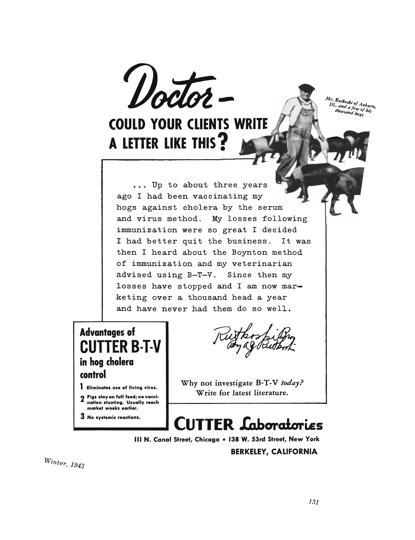

## **COULD YOUR CLIENTS WRITE** A LETTER LIKE THIS?

Mr. Rutkoski of Auburn,<br>III., and a few of bis<br>thousand bove thousand hogs

hogs against cholera by the series Ip to about three years **the contract of the set of the set of the set of the set of the set of the set of the set of the set of the set of the set of the set of the set of the set of the set of the set of the set of the s** ago I had been vaccinating my hogs against cholera by the serum and virus method. My losses following immunization were so great I decided<br>I had better quit the business. It was I had better quit the business. then I heard about the Boynton method of immunization and my veterinarian advised using B-T-V. Since then my<br>losses have stopped and I am now marketing over a thousand head a year<br>and have never had them do so well. **CUTTER B-T-V** 

ago I had been vacant my start in the second second was also that the second second was the second second was

### **Advantages of CUTTER B-T-V**  $\begin{bmatrix} 1 & 1 \\ 1 & 1 \end{bmatrix}$ iera **in full feed** control nation stunting. Usually reach market weeks earlier.

2 Pigs stay on full feed; no vaccination stunting. Usually reach market weeks earlier.

3 No systemic reactions.

*Winter, 1943* 

Why not investigate B-T-V *today?*  Write for latest literature.

I Eliminates use of living virus. Why not investigate B-T-V today? Write for latest literature.

# **CUTTER Laboratories**

III N. Canal Street, Chicago . 138 W. 53rd Street, New York

**BERKELEY, CALIFORNIA** 

 $Winter, 1943$